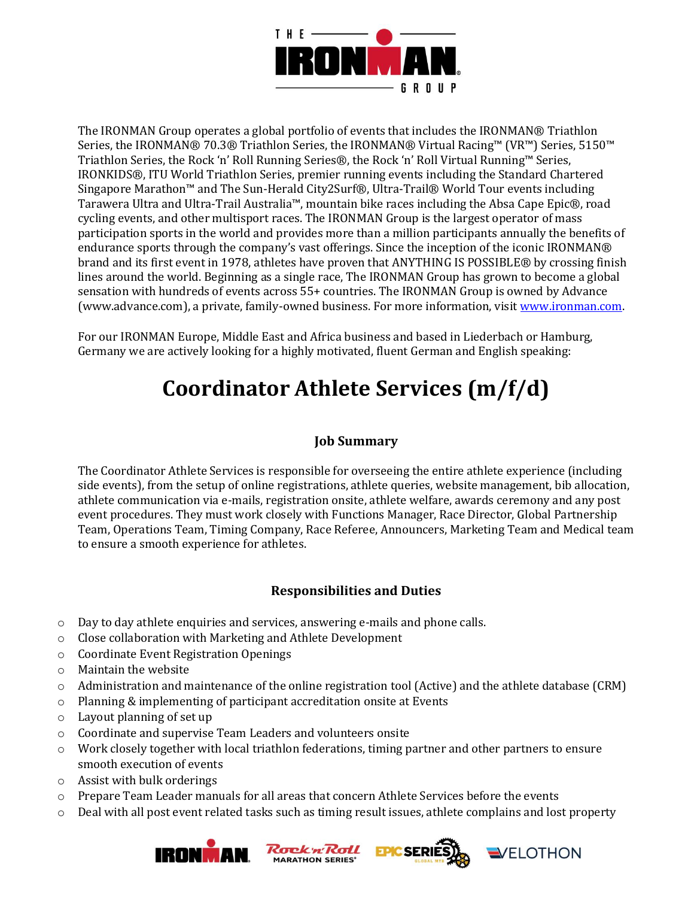

The IRONMAN Group operates a global portfolio of events that includes the IRONMAN® Triathlon Series, the IRONMAN® 70.3® Triathlon Series, the IRONMAN® Virtual Racing™ (VR™) Series, 5150™ Triathlon Series, the Rock 'n' Roll Running Series®, the Rock 'n' Roll Virtual Running™ Series, IRONKIDS®, ITU World Triathlon Series, premier running events including the Standard Chartered Singapore Marathon™ and The Sun-Herald City2Surf®, Ultra-Trail® World Tour events including Tarawera Ultra and Ultra-Trail Australia™, mountain bike races including the Absa Cape Epic®, road cycling events, and other multisport races. The IRONMAN Group is the largest operator of mass participation sports in the world and provides more than a million participants annually the benefits of endurance sports through the company's vast offerings. Since the inception of the iconic IRONMAN® brand and its first event in 1978, athletes have proven that ANYTHING IS POSSIBLE® by crossing finish lines around the world. Beginning as a single race, The IRONMAN Group has grown to become a global sensation with hundreds of events across 55+ countries. The IRONMAN Group is owned by Advance (www.advance.com), a private, family-owned business. For more information, visit [www.ironman.com.](http://www.ironman.com/)

For our IRONMAN Europe, Middle East and Africa business and based in Liederbach or Hamburg, Germany we are actively looking for a highly motivated, fluent German and English speaking:

# **Coordinator Athlete Services (m/f/d)**

### **Job Summary**

The Coordinator Athlete Services is responsible for overseeing the entire athlete experience (including side events), from the setup of online registrations, athlete queries, website management, bib allocation, athlete communication via e-mails, registration onsite, athlete welfare, awards ceremony and any post event procedures. They must work closely with Functions Manager, Race Director, Global Partnership Team, Operations Team, Timing Company, Race Referee, Announcers, Marketing Team and Medical team to ensure a smooth experience for athletes.

## **Responsibilities and Duties**

- o Day to day athlete enquiries and services, answering e-mails and phone calls.
- o Close collaboration with Marketing and Athlete Development
- o Coordinate Event Registration Openings
- o Maintain the website
- o Administration and maintenance of the online registration tool (Active) and the athlete database (CRM)
- o Planning & implementing of participant accreditation onsite at Events
- o Layout planning of set up
- o Coordinate and supervise Team Leaders and volunteers onsite
- o Work closely together with local triathlon federations, timing partner and other partners to ensure smooth execution of events
- o Assist with bulk orderings
- o Prepare Team Leader manuals for all areas that concern Athlete Services before the events
- o Deal with all post event related tasks such as timing result issues, athlete complains and lost property